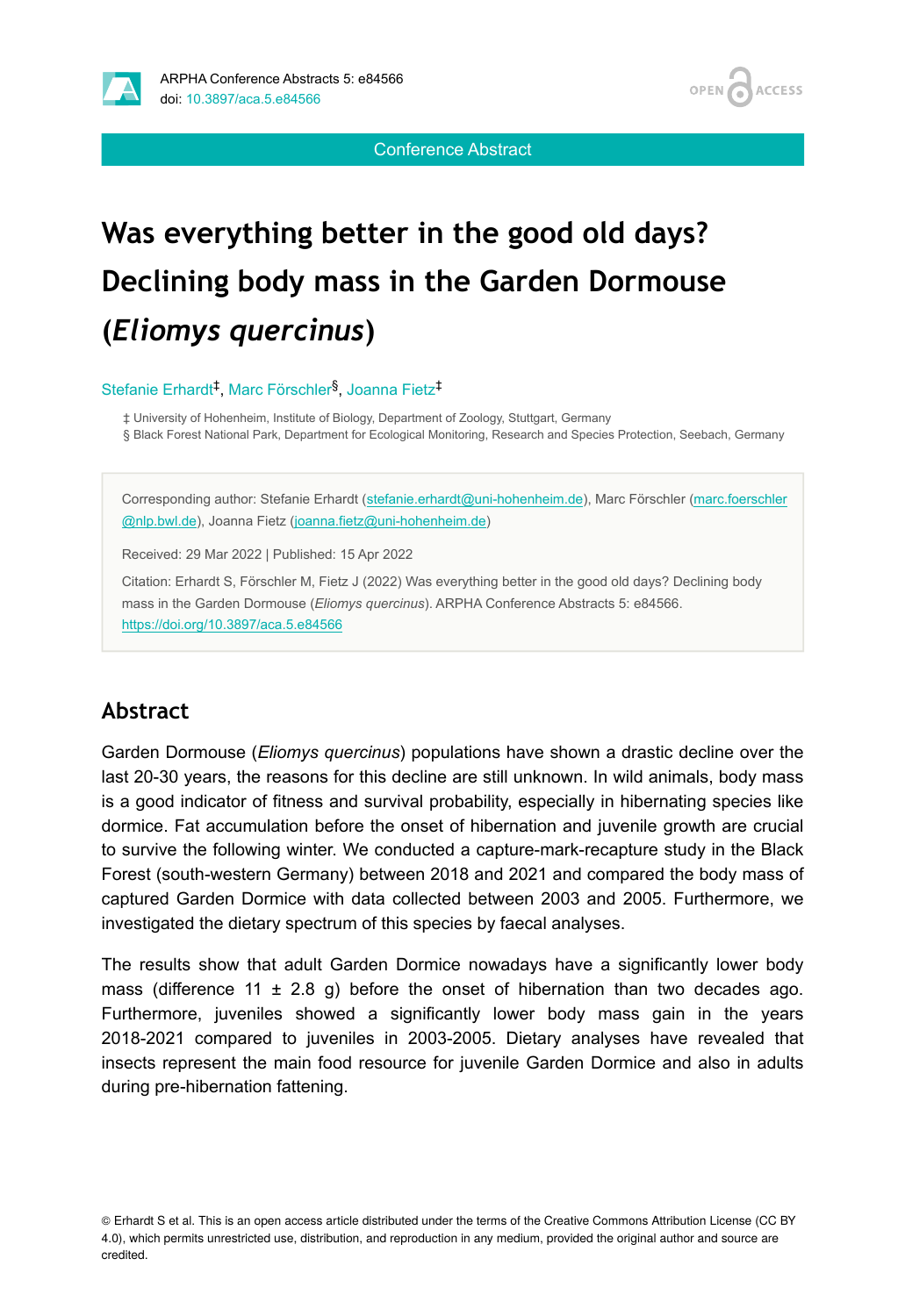

Conference Abstract

# **Was everything better in the good old days? Declining body mass in the Garden Dormouse (***Eliomys quercinus***)**

Stefanie Erhardt<sup>‡</sup>, Marc Förschler<sup>§</sup>, Joanna Fietz<sup>‡</sup>

‡ University of Hohenheim, Institute of Biology, Department of Zoology, Stuttgart, Germany § Black Forest National Park, Department for Ecological Monitoring, Research and Species Protection, Seebach, Germany

Corresponding author: Stefanie Erhardt [\(stefanie.erhardt@uni-hohenheim.de](mailto:stefanie.erhardt@uni-hohenheim.de)), Marc Förschler [\(marc.foerschler](mailto:marc.foerschler@nlp.bwl.de) [@nlp.bwl.de\)](mailto:marc.foerschler@nlp.bwl.de), Joanna Fietz [\(joanna.fietz@uni-hohenheim.de](mailto:joanna.fietz@uni-hohenheim.de))

Received: 29 Mar 2022 | Published: 15 Apr 2022

Citation: Erhardt S, Förschler M, Fietz J (2022) Was everything better in the good old days? Declining body mass in the Garden Dormouse (*Eliomys quercinus*). ARPHA Conference Abstracts 5: e84566. <https://doi.org/10.3897/aca.5.e84566>

# **Abstract**

Garden Dormouse (*Eliomys quercinus*) populations have shown a drastic decline over the last 20-30 years, the reasons for this decline are still unknown. In wild animals, body mass is a good indicator of fitness and survival probability, especially in hibernating species like dormice. Fat accumulation before the onset of hibernation and juvenile growth are crucial to survive the following winter. We conducted a capture-mark-recapture study in the Black Forest (south-western Germany) between 2018 and 2021 and compared the body mass of captured Garden Dormice with data collected between 2003 and 2005. Furthermore, we investigated the dietary spectrum of this species by faecal analyses.

The results show that adult Garden Dormice nowadays have a significantly lower body mass (difference 11  $\pm$  2.8 g) before the onset of hibernation than two decades ago. Furthermore, juveniles showed a significantly lower body mass gain in the years 2018-2021 compared to juveniles in 2003-2005. Dietary analyses have revealed that insects represent the main food resource for juvenile Garden Dormice and also in adults during pre-hibernation fattening.

© Erhardt S et al. This is an open access article distributed under the terms of the Creative Commons Attribution License (CC BY 4.0), which permits unrestricted use, distribution, and reproduction in any medium, provided the original author and source are credited.